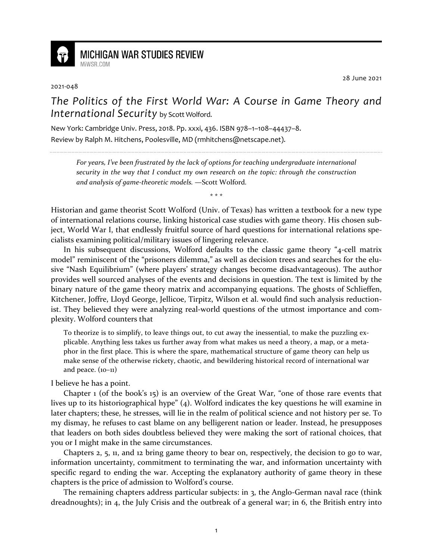

**MICHIGAN WAR STUDIES REVIEW** MiWSR COM

## 2021-048

28 June 2021

*The Politics of the First World War: A Course in Game Theory and International Security* by Scott Wolford.

New York: Cambridge Univ. Press, 2018. Pp. xxxi, 436. ISBN 978–1–108–44437–8. Review by Ralph M. Hitchens, Poolesville, MD (rmhitchens@netscape.net).

*For years, I've been frustrated by the lack of options for teaching undergraduate international security in the way that I conduct my own research on the topic: through the construction and analysis of game-theoretic models.* —Scott Wolford*.*

\* \* \*

Historian and game theorist Scott Wolford (Univ. of Texas) has written a textbook for a new type of international relations course, linking historical case studies with game theory. His chosen subject, World War I, that endlessly fruitful source of hard questions for international relations specialists examining political/military issues of lingering relevance.

In his subsequent discussions, Wolford defaults to the classic game theory "4-cell matrix model" reminiscent of the "prisoners dilemma," as well as decision trees and searches for the elusive "Nash Equilibrium" (where players' strategy changes become disadvantageous). The author provides well sourced analyses of the events and decisions in question. The text is limited by the binary nature of the game theory matrix and accompanying equations. The ghosts of Schlieffen, Kitchener, Joffre, Lloyd George, Jellicoe, Tirpitz, Wilson et al. would find such analysis reductionist. They believed they were analyzing real-world questions of the utmost importance and complexity. Wolford counters that

To theorize is to simplify, to leave things out, to cut away the inessential, to make the puzzling explicable. Anything less takes us further away from what makes us need a theory, a map, or a metaphor in the first place. This is where the spare, mathematical structure of game theory can help us make sense of the otherwise rickety, chaotic, and bewildering historical record of international war and peace.  $(10-11)$ 

I believe he has a point.

Chapter 1 (of the book's 15) is an overview of the Great War, "one of those rare events that lives up to its historiographical hype" (4). Wolford indicates the key questions he will examine in later chapters; these, he stresses, will lie in the realm of political science and not history per se. To my dismay, he refuses to cast blame on any belligerent nation or leader. Instead, he presupposes that leaders on both sides doubtless believed they were making the sort of rational choices, that you or I might make in the same circumstances.

Chapters 2, 5, 11, and 12 bring game theory to bear on, respectively, the decision to go to war, information uncertainty, commitment to terminating the war, and information uncertainty with specific regard to ending the war. Accepting the explanatory authority of game theory in these chapters is the price of admission to Wolford's course.

The remaining chapters address particular subjects: in 3, the Anglo-German naval race (think dreadnoughts); in 4, the July Crisis and the outbreak of a general war; in 6, the British entry into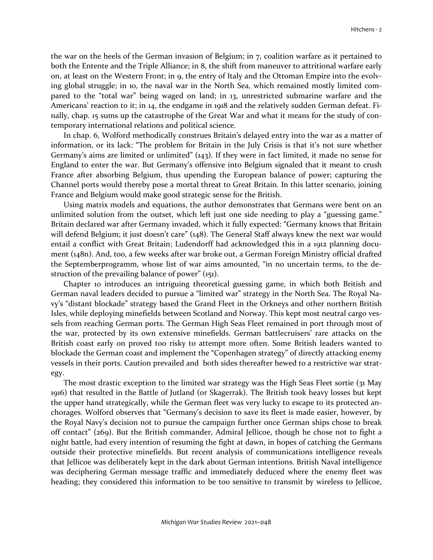the war on the heels of the German invasion of Belgium; in 7, coalition warfare as it pertained to both the Entente and the Triple Alliance; in 8, the shift from maneuver to attritional warfare early on, at least on the Western Front; in 9, the entry of Italy and the Ottoman Empire into the evolving global struggle; in 10, the naval war in the North Sea, which remained mostly limited compared to the "total war" being waged on land; in 13, unrestricted submarine warfare and the Americans' reaction to it; in 14, the endgame in 1918 and the relatively sudden German defeat. Finally, chap. 15 sums up the catastrophe of the Great War and what it means for the study of contemporary international relations and political science.

In chap. 6, Wolford methodically construes Britain's delayed entry into the war as a matter of information, or its lack: "The problem for Britain in the July Crisis is that it's not sure whether Germany's aims are limited or unlimited" (143). If they were in fact limited, it made no sense for England to enter the war. But Germany's offensive into Belgium signaled that it meant to crush France after absorbing Belgium, thus upending the European balance of power; capturing the Channel ports would thereby pose a mortal threat to Great Britain. In this latter scenario, joining France and Belgium would make good strategic sense for the British.

Using matrix models and equations, the author demonstrates that Germans were bent on an unlimited solution from the outset, which left just one side needing to play a "guessing game." Britain declared war after Germany invaded, which it fully expected: "Germany knows that Britain will defend Belgium; it just doesn't care"  $(148)$ . The General Staff always knew the next war would entail a conflict with Great Britain; Ludendorff had acknowledged this in a 1912 planning document (148n). And, too, a few weeks after war broke out, a German Foreign Ministry official drafted the Septemberprogramm, whose list of war aims amounted, "in no uncertain terms, to the destruction of the prevailing balance of power" (151).

Chapter 10 introduces an intriguing theoretical guessing game, in which both British and German naval leaders decided to pursue a "limited war" strategy in the North Sea. The Royal Navy's "distant blockade" strategy based the Grand Fleet in the Orkneys and other northern British Isles, while deploying minefields between Scotland and Norway. This kept most neutral cargo vessels from reaching German ports. The German High Seas Fleet remained in port through most of the war, protected by its own extensive minefields. German battlecruisers' rare attacks on the British coast early on proved too risky to attempt more often. Some British leaders wanted to blockade the German coast and implement the "Copenhagen strategy" of directly attacking enemy vessels in their ports. Caution prevailed and both sides thereafter hewed to a restrictive war strategy.

The most drastic exception to the limited war strategy was the High Seas Fleet sortie (31 May 1916) that resulted in the Battle of Jutland (or Skagerrak). The British took heavy losses but kept the upper hand strategically, while the German fleet was very lucky to escape to its protected anchorages. Wolford observes that "Germany's decision to save its fleet is made easier, however, by the Royal Navy's decision not to pursue the campaign further once German ships chose to break off contact" (269). But the British commander, Admiral Jellicoe, though he chose not to fight a night battle, had every intention of resuming the fight at dawn, in hopes of catching the Germans outside their protective minefields. But recent analysis of communications intelligence reveals that Jellicoe was deliberately kept in the dark about German intentions. British Naval intelligence was deciphering German message traffic and immediately deduced where the enemy fleet was heading; they considered this information to be too sensitive to transmit by wireless to Jellicoe,